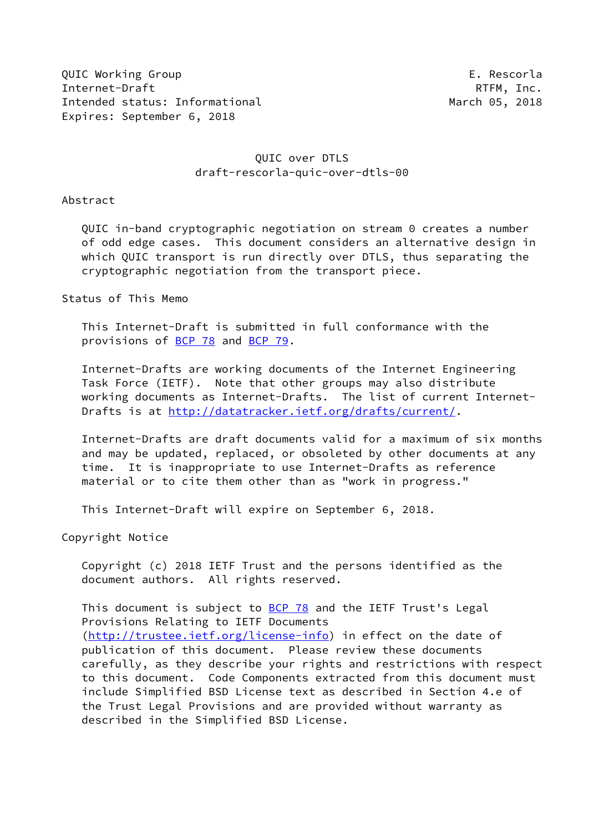QUIC Working Group **E. Rescorla** Internet-Draft RTFM, Inc. Intended status: Informational March 05, 2018 Expires: September 6, 2018

# QUIC over DTLS draft-rescorla-quic-over-dtls-00

Abstract

 QUIC in-band cryptographic negotiation on stream 0 creates a number of odd edge cases. This document considers an alternative design in which QUIC transport is run directly over DTLS, thus separating the cryptographic negotiation from the transport piece.

## Status of This Memo

 This Internet-Draft is submitted in full conformance with the provisions of [BCP 78](https://datatracker.ietf.org/doc/pdf/bcp78) and [BCP 79](https://datatracker.ietf.org/doc/pdf/bcp79).

 Internet-Drafts are working documents of the Internet Engineering Task Force (IETF). Note that other groups may also distribute working documents as Internet-Drafts. The list of current Internet Drafts is at<http://datatracker.ietf.org/drafts/current/>.

 Internet-Drafts are draft documents valid for a maximum of six months and may be updated, replaced, or obsoleted by other documents at any time. It is inappropriate to use Internet-Drafts as reference material or to cite them other than as "work in progress."

This Internet-Draft will expire on September 6, 2018.

Copyright Notice

 Copyright (c) 2018 IETF Trust and the persons identified as the document authors. All rights reserved.

This document is subject to [BCP 78](https://datatracker.ietf.org/doc/pdf/bcp78) and the IETF Trust's Legal Provisions Relating to IETF Documents [\(http://trustee.ietf.org/license-info](http://trustee.ietf.org/license-info)) in effect on the date of publication of this document. Please review these documents carefully, as they describe your rights and restrictions with respect to this document. Code Components extracted from this document must include Simplified BSD License text as described in Section 4.e of the Trust Legal Provisions and are provided without warranty as described in the Simplified BSD License.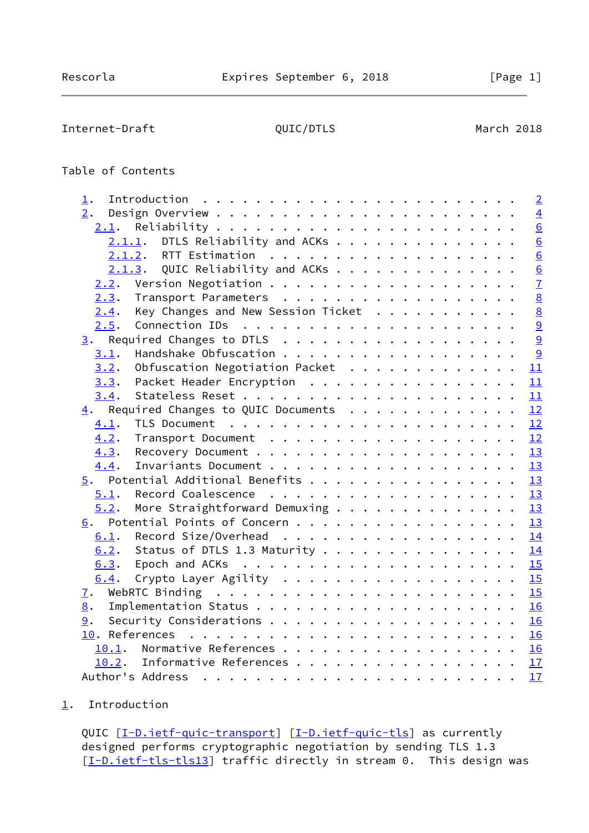# <span id="page-1-1"></span>Table of Contents

| 2.                                                   | $\overline{4}$<br>$\underline{6}$ |
|------------------------------------------------------|-----------------------------------|
|                                                      |                                   |
| 2.1.                                                 |                                   |
| DTLS Reliability and ACKs<br>2.1.1.                  | $\overline{6}$                    |
|                                                      | $\underline{6}$                   |
| $2.1.3$ . QUIC Reliability and ACKs                  | $\underline{6}$                   |
| 2.2.                                                 | $\overline{1}$                    |
| Transport Parameters<br>2.3.                         | $\underline{8}$                   |
| Key Changes and New Session Ticket<br>2.4.           | 8                                 |
| 2.5.                                                 | 9                                 |
| 3. Required Changes to DTLS                          | $\overline{9}$                    |
| 3.1.                                                 | $\overline{9}$                    |
| Obfuscation Negotiation Packet<br>3.2.               | 11                                |
| Packet Header Encryption<br>3.3.                     | 11                                |
| 3.4.                                                 |                                   |
| 4. Required Changes to QUIC Documents 12             |                                   |
| 4.1.                                                 |                                   |
| 4.2.                                                 |                                   |
| 4.3.                                                 |                                   |
| 4.4.                                                 | 13                                |
| $\underline{5}$ . Potential Additional Benefits      | 13                                |
| 5.1.                                                 | 13                                |
| More Straightforward Demuxing $\frac{13}{2}$<br>5.2. |                                   |
| Potential Points of Concern 13<br>6.                 |                                   |
| Record Size/Overhead 14<br>6.1.                      |                                   |
| Status of DTLS 1.3 Maturity 14<br>6.2.               |                                   |
| 6.3.                                                 |                                   |
| Crypto Layer Agility 15<br>6.4.                      |                                   |
| 7.                                                   | 15                                |
| 8.                                                   | 16                                |
| 9.                                                   |                                   |
|                                                      |                                   |
| Normative References 16<br>10.1.                     |                                   |
| 10.2. Informative References 17                      |                                   |
|                                                      | 17                                |

# <span id="page-1-0"></span>[1](#page-1-0). Introduction

QUIC [\[I-D.ietf-quic-transport](#page-17-5)] [\[I-D.ietf-quic-tls](#page-17-6)] as currently designed performs cryptographic negotiation by sending TLS 1.3 [\[I-D.ietf-tls-tls13\]](#page-18-2) traffic directly in stream 0. This design was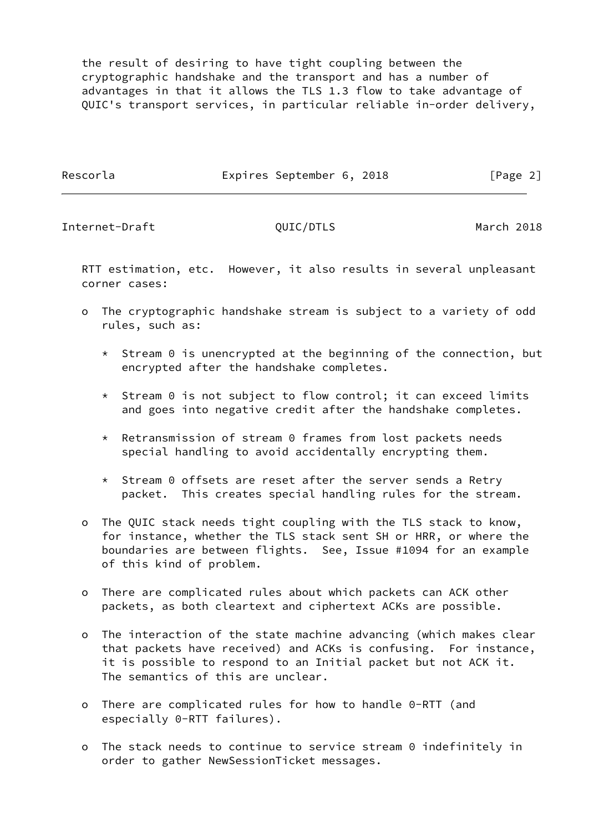the result of desiring to have tight coupling between the cryptographic handshake and the transport and has a number of advantages in that it allows the TLS 1.3 flow to take advantage of QUIC's transport services, in particular reliable in-order delivery,

Rescorla **Expires September 6, 2018** [Page 2]

Internet-Draft QUIC/DTLS March 2018

 RTT estimation, etc. However, it also results in several unpleasant corner cases:

- o The cryptographic handshake stream is subject to a variety of odd rules, such as:
	- $*$  Stream 0 is unencrypted at the beginning of the connection, but encrypted after the handshake completes.
	- \* Stream 0 is not subject to flow control; it can exceed limits and goes into negative credit after the handshake completes.
	- \* Retransmission of stream 0 frames from lost packets needs special handling to avoid accidentally encrypting them.
	- \* Stream 0 offsets are reset after the server sends a Retry packet. This creates special handling rules for the stream.
- o The QUIC stack needs tight coupling with the TLS stack to know, for instance, whether the TLS stack sent SH or HRR, or where the boundaries are between flights. See, Issue #1094 for an example of this kind of problem.
- o There are complicated rules about which packets can ACK other packets, as both cleartext and ciphertext ACKs are possible.
- o The interaction of the state machine advancing (which makes clear that packets have received) and ACKs is confusing. For instance, it is possible to respond to an Initial packet but not ACK it. The semantics of this are unclear.
- o There are complicated rules for how to handle 0-RTT (and especially 0-RTT failures).
- o The stack needs to continue to service stream 0 indefinitely in order to gather NewSessionTicket messages.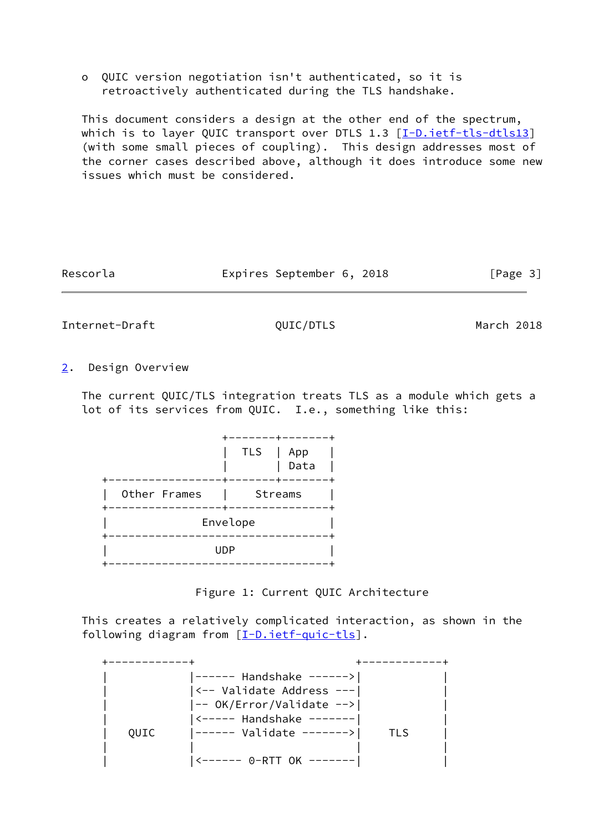o QUIC version negotiation isn't authenticated, so it is retroactively authenticated during the TLS handshake.

 This document considers a design at the other end of the spectrum, which is to layer QUIC transport over DTLS 1.3 [\[I-D.ietf-tls-dtls13](#page-17-7)] (with some small pieces of coupling). This design addresses most of the corner cases described above, although it does introduce some new issues which must be considered.

| Rescorla | Expires September 6, 2018 |  | [Page 3] |
|----------|---------------------------|--|----------|
|----------|---------------------------|--|----------|

<span id="page-3-1"></span>Internet-Draft QUIC/DTLS March 2018

<span id="page-3-0"></span>[2](#page-3-0). Design Overview

 The current QUIC/TLS integration treats TLS as a module which gets a lot of its services from QUIC. I.e., something like this:

|              | <b>TLS</b> | App<br>Data |  |
|--------------|------------|-------------|--|
| Other Frames | Streams    |             |  |
|              | Envelope   |             |  |
|              | UDP        |             |  |
|              |            |             |  |

Figure 1: Current QUIC Architecture

 This creates a relatively complicated interaction, as shown in the following diagram from [\[I-D.ietf-quic-tls](#page-17-6)].

|      | ------ Handshake ------>     |     |
|------|------------------------------|-----|
|      | <-- Validate Address ---     |     |
|      | -- OK/Error/Validate -->     |     |
|      | $ $ <----- Handshake ------- |     |
| OUIC | ------ Validate ------->     | TLS |
|      |                              |     |
|      |                              |     |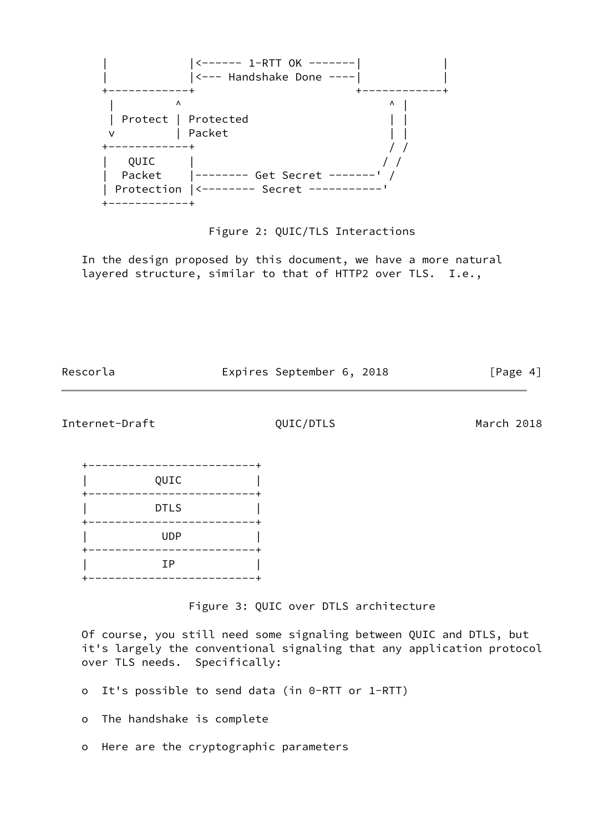

### Figure 2: QUIC/TLS Interactions

 In the design proposed by this document, we have a more natural layered structure, similar to that of HTTP2 over TLS. I.e.,

Rescorla **Expires September 6, 2018** [Page 4]

Internet-Draft QUIC/DTLS March 2018

| QUIC        |  |
|-------------|--|
| <b>DTLS</b> |  |
| <b>UDP</b>  |  |
| IP          |  |
|             |  |

Figure 3: QUIC over DTLS architecture

 Of course, you still need some signaling between QUIC and DTLS, but it's largely the conventional signaling that any application protocol over TLS needs. Specifically:

- o It's possible to send data (in 0-RTT or 1-RTT)
- o The handshake is complete
- o Here are the cryptographic parameters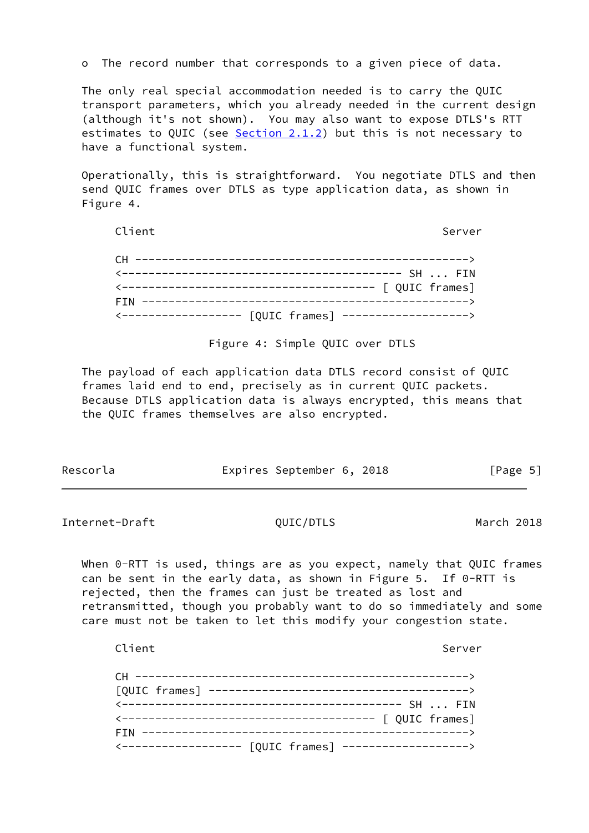o The record number that corresponds to a given piece of data.

 The only real special accommodation needed is to carry the QUIC transport parameters, which you already needed in the current design (although it's not shown). You may also want to expose DTLS's RTT estimates to QUIC (see  $Section 2.1.2$ ) but this is not necessary to have a functional system.

 Operationally, this is straightforward. You negotiate DTLS and then send QUIC frames over DTLS as type application data, as shown in Figure 4.

| Client     | Server |
|------------|--------|
|            |        |
|            |        |
|            |        |
| <b>FTN</b> |        |
|            |        |

Figure 4: Simple QUIC over DTLS

 The payload of each application data DTLS record consist of QUIC frames laid end to end, precisely as in current QUIC packets. Because DTLS application data is always encrypted, this means that the QUIC frames themselves are also encrypted.

| Rescorla | Expires September 6, 2018 | [Page 5] |
|----------|---------------------------|----------|
|----------|---------------------------|----------|

<span id="page-5-0"></span>Internet-Draft QUIC/DTLS March 2018

When 0-RTT is used, things are as you expect, namely that QUIC frames can be sent in the early data, as shown in Figure 5. If  $0$ -RTT is rejected, then the frames can just be treated as lost and retransmitted, though you probably want to do so immediately and some care must not be taken to let this modify your congestion state.

Client Server Server Server Server Server Server Server Server Server Server Server Server Server Server Serve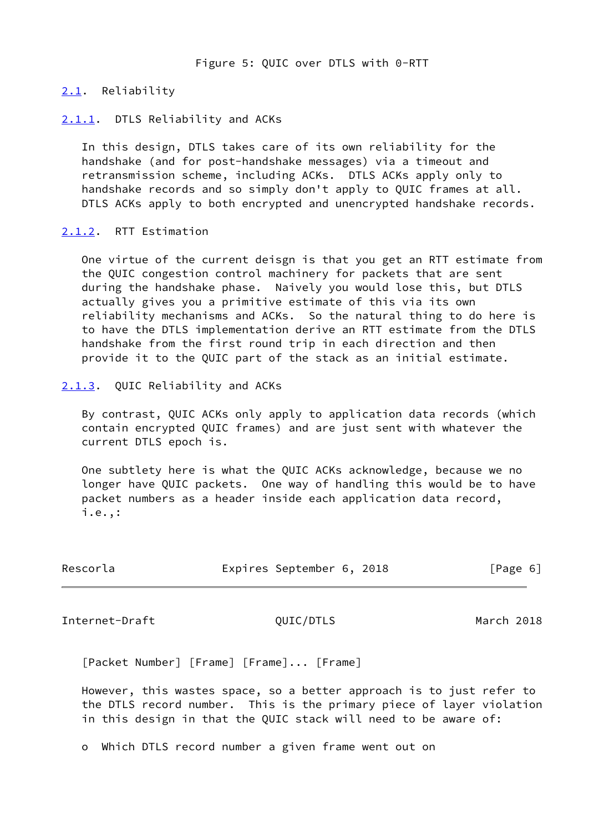### <span id="page-6-0"></span>[2.1](#page-6-0). Reliability

### <span id="page-6-1"></span>[2.1.1](#page-6-1). DTLS Reliability and ACKs

 In this design, DTLS takes care of its own reliability for the handshake (and for post-handshake messages) via a timeout and retransmission scheme, including ACKs. DTLS ACKs apply only to handshake records and so simply don't apply to QUIC frames at all. DTLS ACKs apply to both encrypted and unencrypted handshake records.

### <span id="page-6-2"></span>[2.1.2](#page-6-2). RTT Estimation

 One virtue of the current deisgn is that you get an RTT estimate from the QUIC congestion control machinery for packets that are sent during the handshake phase. Naively you would lose this, but DTLS actually gives you a primitive estimate of this via its own reliability mechanisms and ACKs. So the natural thing to do here is to have the DTLS implementation derive an RTT estimate from the DTLS handshake from the first round trip in each direction and then provide it to the QUIC part of the stack as an initial estimate.

### <span id="page-6-3"></span>[2.1.3](#page-6-3). QUIC Reliability and ACKs

 By contrast, QUIC ACKs only apply to application data records (which contain encrypted QUIC frames) and are just sent with whatever the current DTLS epoch is.

 One subtlety here is what the QUIC ACKs acknowledge, because we no longer have QUIC packets. One way of handling this would be to have packet numbers as a header inside each application data record, i.e.,:

| Rescorla | Expires September 6, 2018 |  | [Page 6] |  |
|----------|---------------------------|--|----------|--|
|          |                           |  |          |  |

<span id="page-6-4"></span>Internet-Draft QUIC/DTLS March 2018

[Packet Number] [Frame] [Frame]... [Frame]

 However, this wastes space, so a better approach is to just refer to the DTLS record number. This is the primary piece of layer violation in this design in that the QUIC stack will need to be aware of:

o Which DTLS record number a given frame went out on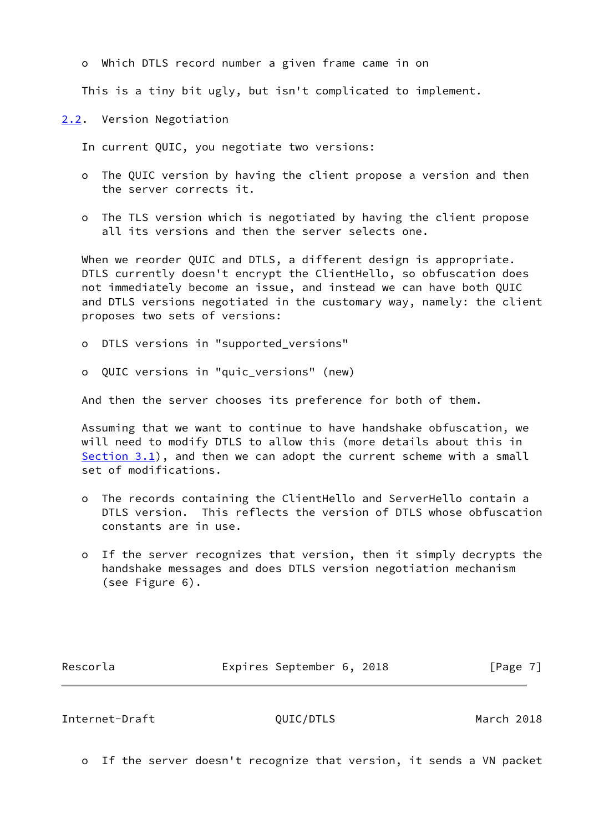o Which DTLS record number a given frame came in on

This is a tiny bit ugly, but isn't complicated to implement.

<span id="page-7-0"></span>[2.2](#page-7-0). Version Negotiation

In current QUIC, you negotiate two versions:

- o The QUIC version by having the client propose a version and then the server corrects it.
- o The TLS version which is negotiated by having the client propose all its versions and then the server selects one.

 When we reorder QUIC and DTLS, a different design is appropriate. DTLS currently doesn't encrypt the ClientHello, so obfuscation does not immediately become an issue, and instead we can have both QUIC and DTLS versions negotiated in the customary way, namely: the client proposes two sets of versions:

o DTLS versions in "supported\_versions"

o QUIC versions in "quic\_versions" (new)

And then the server chooses its preference for both of them.

 Assuming that we want to continue to have handshake obfuscation, we will need to modify DTLS to allow this (more details about this in [Section 3.1](#page-9-3)), and then we can adopt the current scheme with a small set of modifications.

- o The records containing the ClientHello and ServerHello contain a DTLS version. This reflects the version of DTLS whose obfuscation constants are in use.
- o If the server recognizes that version, then it simply decrypts the handshake messages and does DTLS version negotiation mechanism (see Figure 6).

Rescorla **Expires September 6, 2018** [Page 7]

<span id="page-7-1"></span>Internet-Draft QUIC/DTLS March 2018

o If the server doesn't recognize that version, it sends a VN packet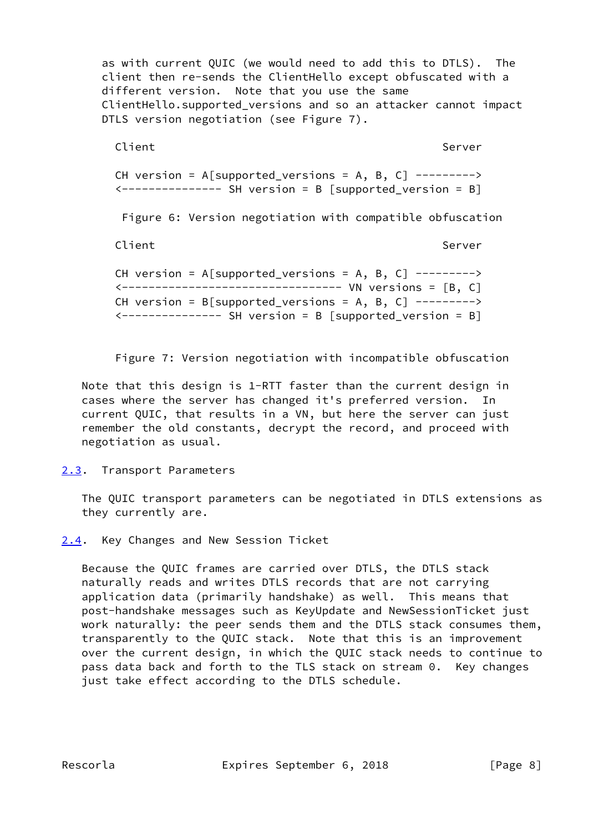as with current QUIC (we would need to add this to DTLS). The client then re-sends the ClientHello except obfuscated with a different version. Note that you use the same ClientHello.supported\_versions and so an attacker cannot impact DTLS version negotiation (see Figure 7).

Client Server Server Server Server Server Server Server Server Server Server Server Server Server Server Serve

CH version =  $A[supported_versions = A, B, C]$  -------->  $\leftarrow$ -------------- SH version = B [supported\_version = B]

Figure 6: Version negotiation with compatible obfuscation

Client Server Server Server Server Server Server Server Server Server Server Server Server Server Server Serve

CH version = A[supported versions = A, B, C] ---------> <--------------------------------- VN versions = [B, C] CH version =  $B[supported_versions = A, B, C]$  -------->  $\leftarrow$ -------------- SH version = B [supported version = B]

Figure 7: Version negotiation with incompatible obfuscation

 Note that this design is 1-RTT faster than the current design in cases where the server has changed it's preferred version. In current QUIC, that results in a VN, but here the server can just remember the old constants, decrypt the record, and proceed with negotiation as usual.

<span id="page-8-0"></span>[2.3](#page-8-0). Transport Parameters

 The QUIC transport parameters can be negotiated in DTLS extensions as they currently are.

<span id="page-8-1"></span>[2.4](#page-8-1). Key Changes and New Session Ticket

 Because the QUIC frames are carried over DTLS, the DTLS stack naturally reads and writes DTLS records that are not carrying application data (primarily handshake) as well. This means that post-handshake messages such as KeyUpdate and NewSessionTicket just work naturally: the peer sends them and the DTLS stack consumes them, transparently to the QUIC stack. Note that this is an improvement over the current design, in which the QUIC stack needs to continue to pass data back and forth to the TLS stack on stream 0. Key changes just take effect according to the DTLS schedule.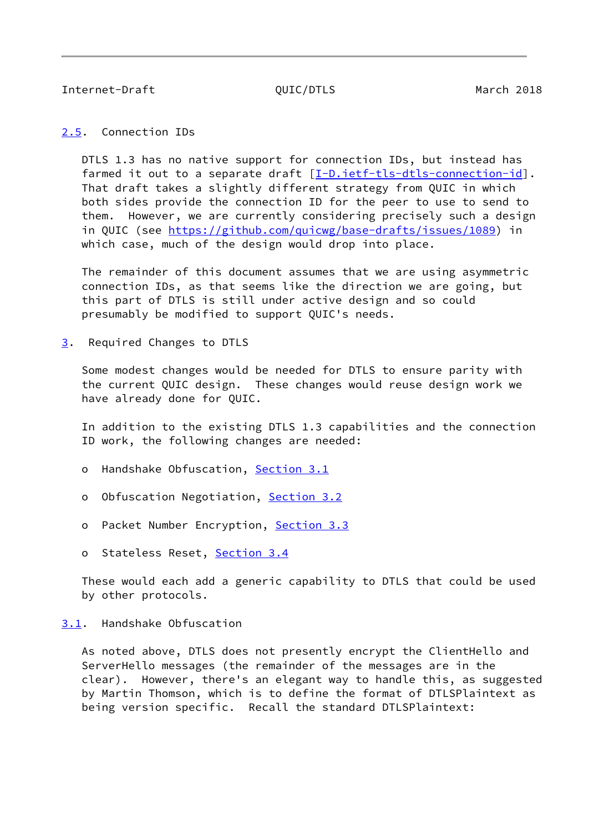<span id="page-9-1"></span><span id="page-9-0"></span>[2.5](#page-9-0). Connection IDs

 DTLS 1.3 has no native support for connection IDs, but instead has farmed it out to a separate draft [[I-D.ietf-tls-dtls-connection-id](#page-17-8)]. That draft takes a slightly different strategy from QUIC in which both sides provide the connection ID for the peer to use to send to them. However, we are currently considering precisely such a design in QUIC (see<https://github.com/quicwg/base-drafts/issues/1089>) in which case, much of the design would drop into place.

 The remainder of this document assumes that we are using asymmetric connection IDs, as that seems like the direction we are going, but this part of DTLS is still under active design and so could presumably be modified to support QUIC's needs.

<span id="page-9-2"></span>[3](#page-9-2). Required Changes to DTLS

 Some modest changes would be needed for DTLS to ensure parity with the current QUIC design. These changes would reuse design work we have already done for QUIC.

 In addition to the existing DTLS 1.3 capabilities and the connection ID work, the following changes are needed:

- o Handshake Obfuscation, [Section 3.1](#page-9-3)
- o Obfuscation Negotiation, [Section 3.2](#page-11-0)
- o Packet Number Encryption, [Section 3.3](#page-12-0)
- o Stateless Reset, [Section 3.4](#page-12-1)

 These would each add a generic capability to DTLS that could be used by other protocols.

### <span id="page-9-3"></span>[3.1](#page-9-3). Handshake Obfuscation

 As noted above, DTLS does not presently encrypt the ClientHello and ServerHello messages (the remainder of the messages are in the clear). However, there's an elegant way to handle this, as suggested by Martin Thomson, which is to define the format of DTLSPlaintext as being version specific. Recall the standard DTLSPlaintext: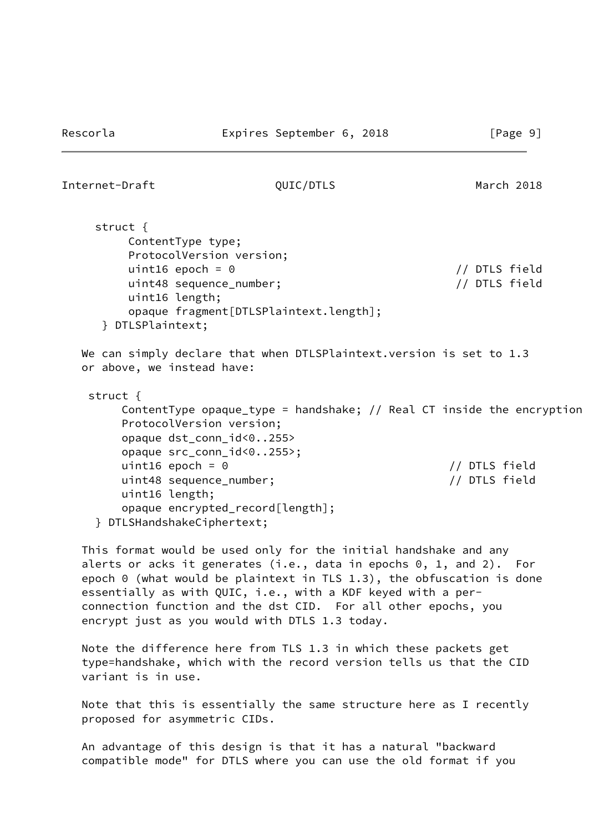struct { ContentType type; ProtocolVersion version; uint16 epoch = 0 // DTLS field uint48 sequence\_number; // DTLS field uint16 length; opaque fragment[DTLSPlaintext.length]; } DTLSPlaintext;

We can simply declare that when DTLSPlaintext.version is set to 1.3 or above, we instead have:

```
 struct {
    ContentType opaque_type = handshake; // Real CT inside the encryption
    ProtocolVersion version;
    opaque dst_conn_id<0..255>
    opaque src_conn_id<0..255>;
    uint16 epoch = 0 // DTLS field
    uint48 sequence_number; // DTLS field
    uint16 length;
    opaque encrypted_record[length];
} DTLSHandshakeCiphertext;
```
 This format would be used only for the initial handshake and any alerts or acks it generates (i.e., data in epochs 0, 1, and 2). For epoch 0 (what would be plaintext in TLS 1.3), the obfuscation is done essentially as with QUIC, i.e., with a KDF keyed with a per connection function and the dst CID. For all other epochs, you encrypt just as you would with DTLS 1.3 today.

 Note the difference here from TLS 1.3 in which these packets get type=handshake, which with the record version tells us that the CID variant is in use.

 Note that this is essentially the same structure here as I recently proposed for asymmetric CIDs.

 An advantage of this design is that it has a natural "backward compatible mode" for DTLS where you can use the old format if you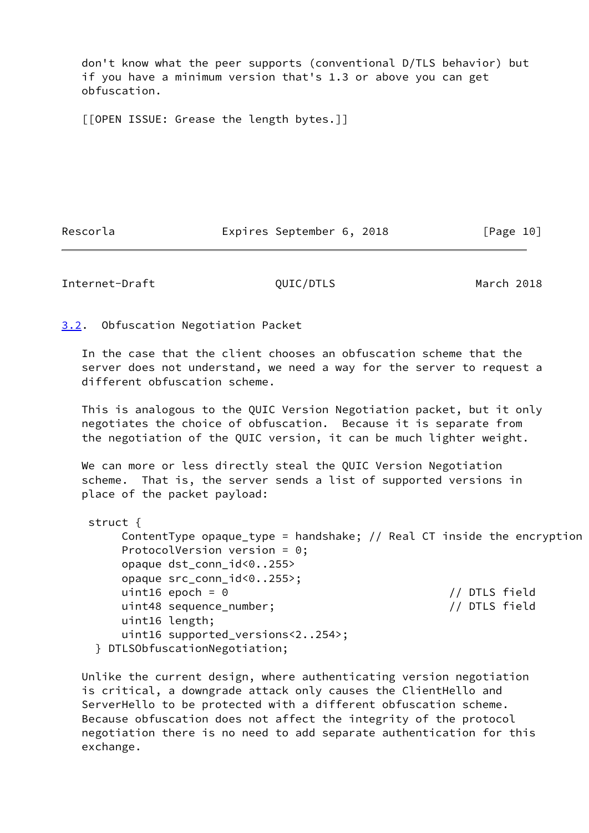don't know what the peer supports (conventional D/TLS behavior) but if you have a minimum version that's 1.3 or above you can get obfuscation.

[[OPEN ISSUE: Grease the length bytes.]]

Rescorla **Expires September 6, 2018** [Page 10]

<span id="page-11-1"></span>Internet-Draft QUIC/DTLS March 2018

<span id="page-11-0"></span>[3.2](#page-11-0). Obfuscation Negotiation Packet

 In the case that the client chooses an obfuscation scheme that the server does not understand, we need a way for the server to request a different obfuscation scheme.

 This is analogous to the QUIC Version Negotiation packet, but it only negotiates the choice of obfuscation. Because it is separate from the negotiation of the QUIC version, it can be much lighter weight.

 We can more or less directly steal the QUIC Version Negotiation scheme. That is, the server sends a list of supported versions in place of the packet payload:

| struct $\{$                                                           |
|-----------------------------------------------------------------------|
| ContentType opaque_type = handshake; // Real CT inside the encryption |
| ProtocolVersion version = $0$ ;                                       |
| opaque dst_conn_id<0255>                                              |
| opaque src_conn_id<0255>;                                             |
| uint16 epoch = $\theta$<br>// DTLS field                              |
| uint48 sequence_number;<br>// DTLS field                              |
| uint16 length;                                                        |
| uint16 supported_versions<2254>;                                      |
| DTLSObfuscationNegotiation;                                           |

 Unlike the current design, where authenticating version negotiation is critical, a downgrade attack only causes the ClientHello and ServerHello to be protected with a different obfuscation scheme. Because obfuscation does not affect the integrity of the protocol negotiation there is no need to add separate authentication for this exchange.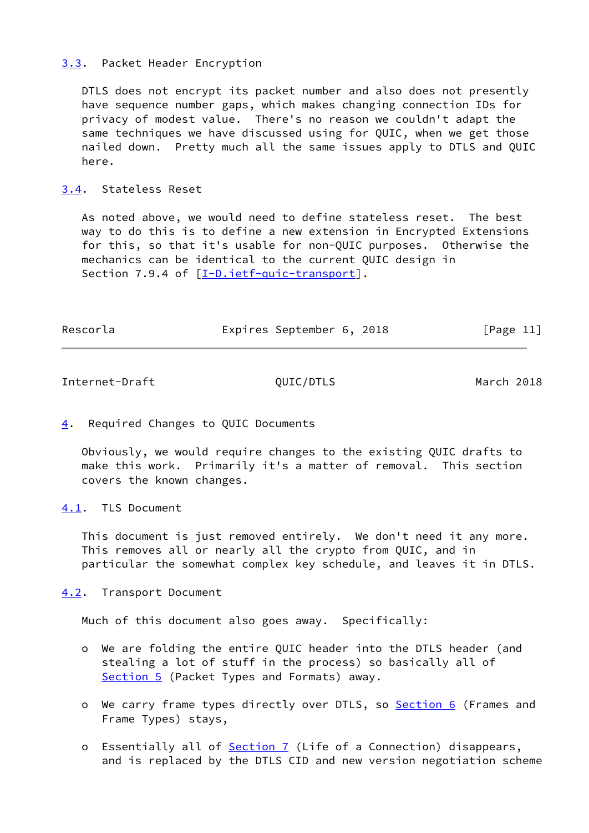### <span id="page-12-0"></span>[3.3](#page-12-0). Packet Header Encryption

 DTLS does not encrypt its packet number and also does not presently have sequence number gaps, which makes changing connection IDs for privacy of modest value. There's no reason we couldn't adapt the same techniques we have discussed using for QUIC, when we get those nailed down. Pretty much all the same issues apply to DTLS and QUIC here.

## <span id="page-12-1"></span>[3.4](#page-12-1). Stateless Reset

 As noted above, we would need to define stateless reset. The best way to do this is to define a new extension in Encrypted Extensions for this, so that it's usable for non-QUIC purposes. Otherwise the mechanics can be identical to the current QUIC design in Section 7.9.4 of [\[I-D.ietf-quic-transport](#page-17-5)].

| Rescorla | Expires September 6, 2018 |  | [Page 11] |  |
|----------|---------------------------|--|-----------|--|
|          |                           |  |           |  |

<span id="page-12-3"></span>Internet-Draft QUIC/DTLS March 2018

<span id="page-12-2"></span>[4](#page-12-2). Required Changes to QUIC Documents

 Obviously, we would require changes to the existing QUIC drafts to make this work. Primarily it's a matter of removal. This section covers the known changes.

<span id="page-12-4"></span>[4.1](#page-12-4). TLS Document

 This document is just removed entirely. We don't need it any more. This removes all or nearly all the crypto from QUIC, and in particular the somewhat complex key schedule, and leaves it in DTLS.

<span id="page-12-5"></span>[4.2](#page-12-5). Transport Document

Much of this document also goes away. Specifically:

- o We are folding the entire QUIC header into the DTLS header (and stealing a lot of stuff in the process) so basically all of [Section 5](#page-13-3) (Packet Types and Formats) away.
- o We carry frame types directly over DTLS, so [Section 6](#page-14-1) (Frames and Frame Types) stays,
- o Essentially all of **Section 7** (Life of a Connection) disappears, and is replaced by the DTLS CID and new version negotiation scheme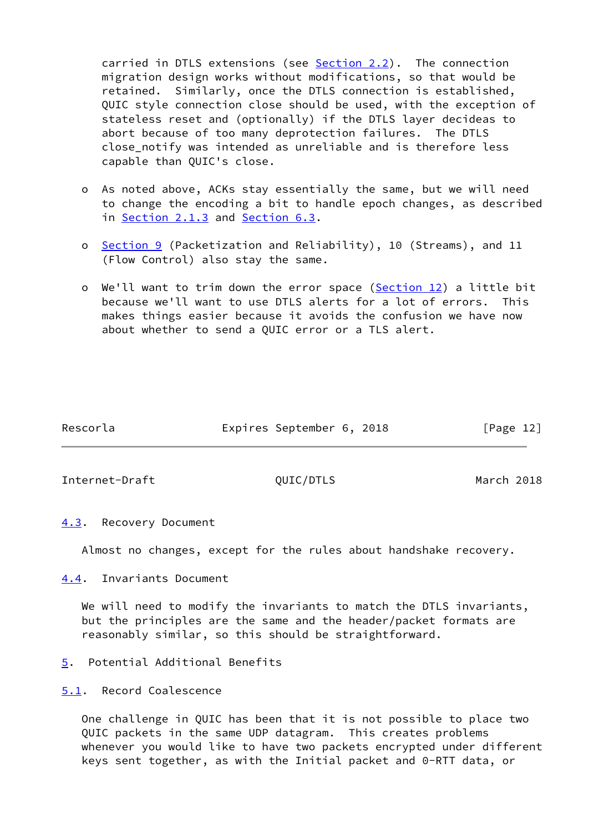carried in DTLS extensions (see [Section 2.2](#page-7-0)). The connection migration design works without modifications, so that would be retained. Similarly, once the DTLS connection is established, QUIC style connection close should be used, with the exception of stateless reset and (optionally) if the DTLS layer decideas to abort because of too many deprotection failures. The DTLS close notify was intended as unreliable and is therefore less capable than QUIC's close.

- o As noted above, ACKs stay essentially the same, but we will need to change the encoding a bit to handle epoch changes, as described in [Section 2.1.3](#page-6-3) and [Section 6.3](#page-15-1).
- o [Section 9](#page-17-2) (Packetization and Reliability), 10 (Streams), and 11 (Flow Control) also stay the same.
- o We'll want to trim down the error space (Section 12) a little bit because we'll want to use DTLS alerts for a lot of errors. This makes things easier because it avoids the confusion we have now about whether to send a QUIC error or a TLS alert.

| Rescorla | Expires September 6, 2018 |  | [Page 12] |  |
|----------|---------------------------|--|-----------|--|
|          |                           |  |           |  |

<span id="page-13-1"></span>Internet-Draft QUIC/DTLS March 2018

<span id="page-13-0"></span>[4.3](#page-13-0). Recovery Document

Almost no changes, except for the rules about handshake recovery.

<span id="page-13-2"></span>[4.4](#page-13-2). Invariants Document

We will need to modify the invariants to match the DTLS invariants, but the principles are the same and the header/packet formats are reasonably similar, so this should be straightforward.

<span id="page-13-3"></span>[5](#page-13-3). Potential Additional Benefits

<span id="page-13-4"></span>[5.1](#page-13-4). Record Coalescence

 One challenge in QUIC has been that it is not possible to place two QUIC packets in the same UDP datagram. This creates problems whenever you would like to have two packets encrypted under different keys sent together, as with the Initial packet and 0-RTT data, or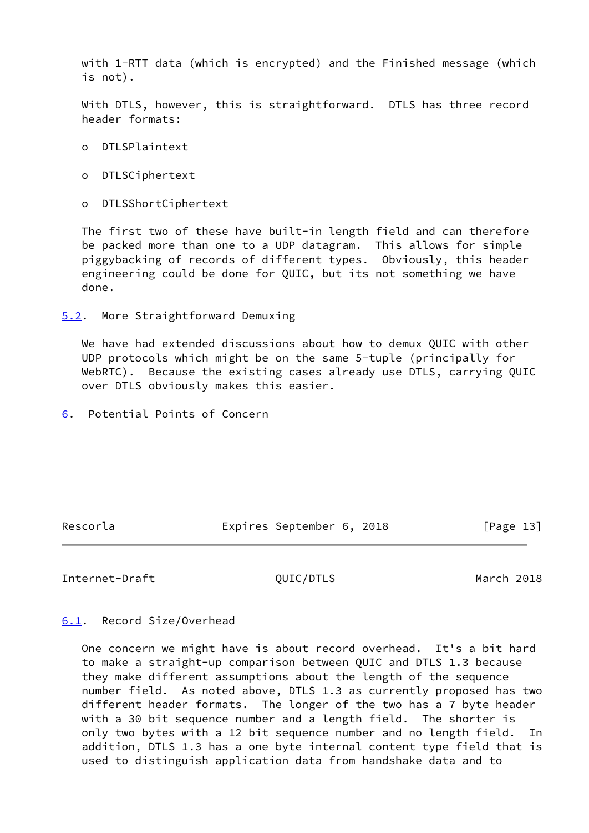with 1-RTT data (which is encrypted) and the Finished message (which is not).

 With DTLS, however, this is straightforward. DTLS has three record header formats:

- o DTLSPlaintext
- o DTLSCiphertext
- o DTLSShortCiphertext

 The first two of these have built-in length field and can therefore be packed more than one to a UDP datagram. This allows for simple piggybacking of records of different types. Obviously, this header engineering could be done for QUIC, but its not something we have done.

<span id="page-14-0"></span>[5.2](#page-14-0). More Straightforward Demuxing

 We have had extended discussions about how to demux QUIC with other UDP protocols which might be on the same 5-tuple (principally for WebRTC). Because the existing cases already use DTLS, carrying QUIC over DTLS obviously makes this easier.

<span id="page-14-1"></span>[6](#page-14-1). Potential Points of Concern

Rescorla **Expires September 6, 2018** [Page 13]

### <span id="page-14-3"></span>Internet-Draft QUIC/DTLS March 2018

## <span id="page-14-2"></span>[6.1](#page-14-2). Record Size/Overhead

 One concern we might have is about record overhead. It's a bit hard to make a straight-up comparison between QUIC and DTLS 1.3 because they make different assumptions about the length of the sequence number field. As noted above, DTLS 1.3 as currently proposed has two different header formats. The longer of the two has a 7 byte header with a 30 bit sequence number and a length field. The shorter is only two bytes with a 12 bit sequence number and no length field. In addition, DTLS 1.3 has a one byte internal content type field that is used to distinguish application data from handshake data and to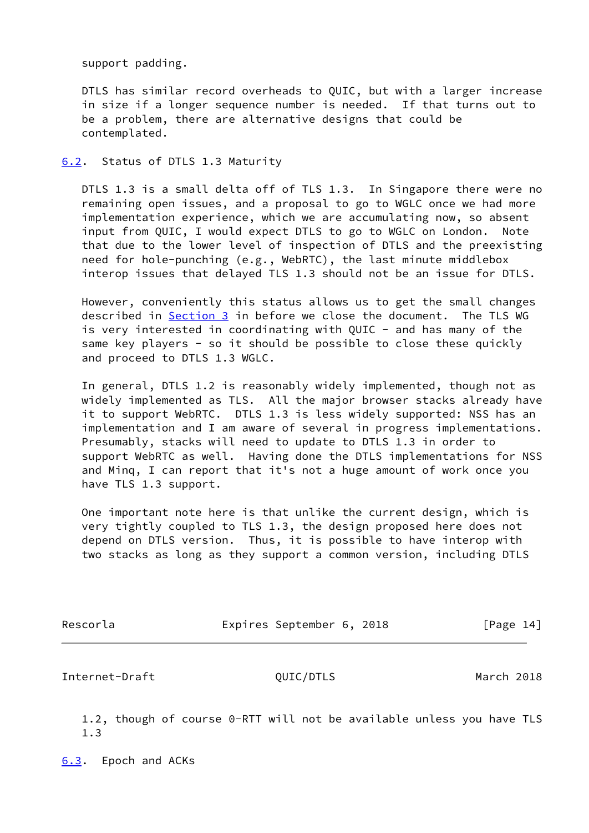support padding.

 DTLS has similar record overheads to QUIC, but with a larger increase in size if a longer sequence number is needed. If that turns out to be a problem, there are alternative designs that could be contemplated.

<span id="page-15-0"></span>[6.2](#page-15-0). Status of DTLS 1.3 Maturity

 DTLS 1.3 is a small delta off of TLS 1.3. In Singapore there were no remaining open issues, and a proposal to go to WGLC once we had more implementation experience, which we are accumulating now, so absent input from QUIC, I would expect DTLS to go to WGLC on London. Note that due to the lower level of inspection of DTLS and the preexisting need for hole-punching (e.g., WebRTC), the last minute middlebox interop issues that delayed TLS 1.3 should not be an issue for DTLS.

 However, conveniently this status allows us to get the small changes described in [Section 3](#page-9-2) in before we close the document. The TLS WG is very interested in coordinating with OUIC - and has many of the same key players - so it should be possible to close these quickly and proceed to DTLS 1.3 WGLC.

 In general, DTLS 1.2 is reasonably widely implemented, though not as widely implemented as TLS. All the major browser stacks already have it to support WebRTC. DTLS 1.3 is less widely supported: NSS has an implementation and I am aware of several in progress implementations. Presumably, stacks will need to update to DTLS 1.3 in order to support WebRTC as well. Having done the DTLS implementations for NSS and Minq, I can report that it's not a huge amount of work once you have TLS 1.3 support.

 One important note here is that unlike the current design, which is very tightly coupled to TLS 1.3, the design proposed here does not depend on DTLS version. Thus, it is possible to have interop with two stacks as long as they support a common version, including DTLS

| Rescorla | Expires September 6, 2018 |  |  |  | [Page 14] |  |
|----------|---------------------------|--|--|--|-----------|--|
|----------|---------------------------|--|--|--|-----------|--|

<span id="page-15-2"></span>Internet-Draft QUIC/DTLS March 2018

 1.2, though of course 0-RTT will not be available unless you have TLS 1.3

<span id="page-15-1"></span>[6.3](#page-15-1). Epoch and ACKs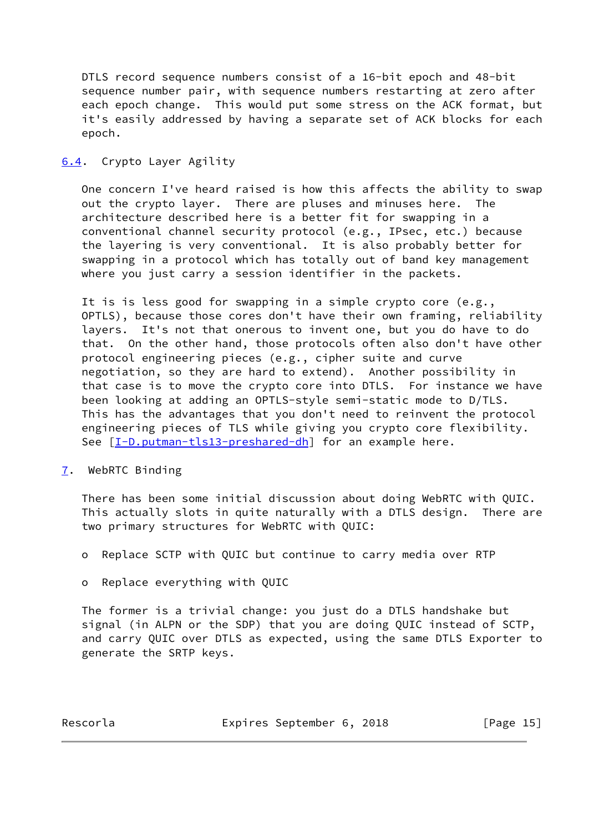DTLS record sequence numbers consist of a 16-bit epoch and 48-bit sequence number pair, with sequence numbers restarting at zero after each epoch change. This would put some stress on the ACK format, but it's easily addressed by having a separate set of ACK blocks for each epoch.

## <span id="page-16-0"></span>[6.4](#page-16-0). Crypto Layer Agility

 One concern I've heard raised is how this affects the ability to swap out the crypto layer. There are pluses and minuses here. The architecture described here is a better fit for swapping in a conventional channel security protocol (e.g., IPsec, etc.) because the layering is very conventional. It is also probably better for swapping in a protocol which has totally out of band key management where you just carry a session identifier in the packets.

 It is is less good for swapping in a simple crypto core (e.g., OPTLS), because those cores don't have their own framing, reliability layers. It's not that onerous to invent one, but you do have to do that. On the other hand, those protocols often also don't have other protocol engineering pieces (e.g., cipher suite and curve negotiation, so they are hard to extend). Another possibility in that case is to move the crypto core into DTLS. For instance we have been looking at adding an OPTLS-style semi-static mode to D/TLS. This has the advantages that you don't need to reinvent the protocol engineering pieces of TLS while giving you crypto core flexibility. See  $[I-D.putman-tls13-preshared-dh]$  $[I-D.putman-tls13-preshared-dh]$  for an example here.

<span id="page-16-1"></span>[7](#page-16-1). WebRTC Binding

 There has been some initial discussion about doing WebRTC with QUIC. This actually slots in quite naturally with a DTLS design. There are two primary structures for WebRTC with QUIC:

- o Replace SCTP with QUIC but continue to carry media over RTP
- o Replace everything with QUIC

 The former is a trivial change: you just do a DTLS handshake but signal (in ALPN or the SDP) that you are doing QUIC instead of SCTP, and carry QUIC over DTLS as expected, using the same DTLS Exporter to generate the SRTP keys.

Rescorla **Expires September 6, 2018** [Page 15]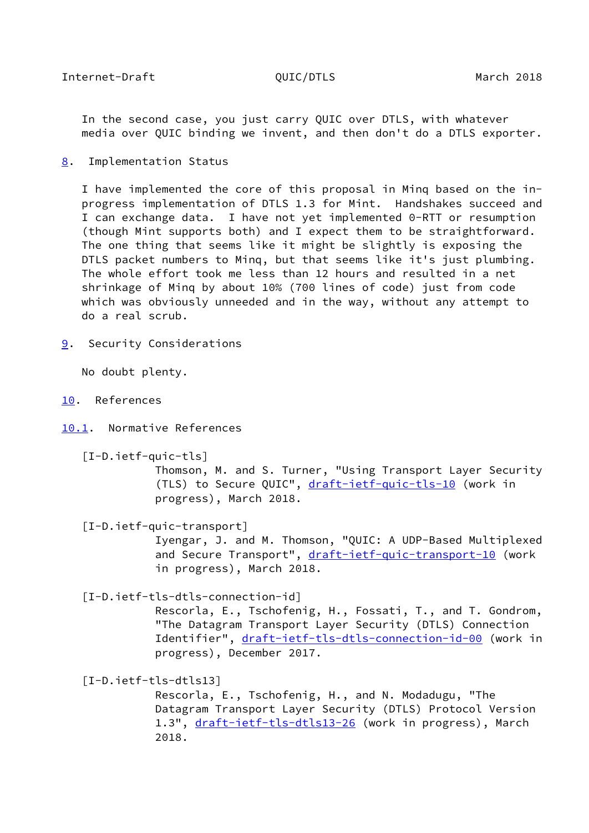<span id="page-17-1"></span> In the second case, you just carry QUIC over DTLS, with whatever media over QUIC binding we invent, and then don't do a DTLS exporter.

<span id="page-17-0"></span>[8](#page-17-0). Implementation Status

 I have implemented the core of this proposal in Minq based on the in progress implementation of DTLS 1.3 for Mint. Handshakes succeed and I can exchange data. I have not yet implemented 0-RTT or resumption (though Mint supports both) and I expect them to be straightforward. The one thing that seems like it might be slightly is exposing the DTLS packet numbers to Minq, but that seems like it's just plumbing. The whole effort took me less than 12 hours and resulted in a net shrinkage of Minq by about 10% (700 lines of code) just from code which was obviously unneeded and in the way, without any attempt to do a real scrub.

<span id="page-17-2"></span>[9](#page-17-2). Security Considerations

No doubt plenty.

<span id="page-17-3"></span>[10.](#page-17-3) References

<span id="page-17-4"></span>[10.1](#page-17-4). Normative References

<span id="page-17-6"></span>[I-D.ietf-quic-tls]

 Thomson, M. and S. Turner, "Using Transport Layer Security (TLS) to Secure QUIC", [draft-ietf-quic-tls-10](https://datatracker.ietf.org/doc/pdf/draft-ietf-quic-tls-10) (work in progress), March 2018.

<span id="page-17-5"></span>[I-D.ietf-quic-transport]

 Iyengar, J. and M. Thomson, "QUIC: A UDP-Based Multiplexed and Secure Transport", [draft-ietf-quic-transport-10](https://datatracker.ietf.org/doc/pdf/draft-ietf-quic-transport-10) (work in progress), March 2018.

<span id="page-17-8"></span>[I-D.ietf-tls-dtls-connection-id]

 Rescorla, E., Tschofenig, H., Fossati, T., and T. Gondrom, "The Datagram Transport Layer Security (DTLS) Connection Identifier", [draft-ietf-tls-dtls-connection-id-00](https://datatracker.ietf.org/doc/pdf/draft-ietf-tls-dtls-connection-id-00) (work in progress), December 2017.

<span id="page-17-7"></span>[I-D.ietf-tls-dtls13]

 Rescorla, E., Tschofenig, H., and N. Modadugu, "The Datagram Transport Layer Security (DTLS) Protocol Version 1.3", [draft-ietf-tls-dtls13-26](https://datatracker.ietf.org/doc/pdf/draft-ietf-tls-dtls13-26) (work in progress), March 2018.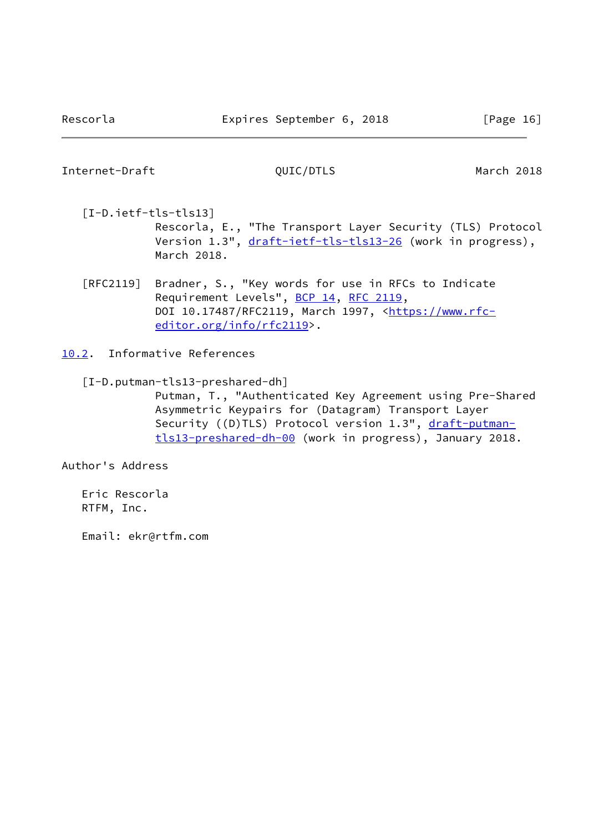<span id="page-18-2"></span><span id="page-18-1"></span> [I-D.ietf-tls-tls13] Rescorla, E., "The Transport Layer Security (TLS) Protocol Version 1.3", [draft-ietf-tls-tls13-26](https://datatracker.ietf.org/doc/pdf/draft-ietf-tls-tls13-26) (work in progress), March 2018.

 [RFC2119] Bradner, S., "Key words for use in RFCs to Indicate Requirement Levels", [BCP 14](https://datatracker.ietf.org/doc/pdf/bcp14), [RFC 2119](https://datatracker.ietf.org/doc/pdf/rfc2119), DOI 10.17487/RFC2119, March 1997, [<https://www.rfc](https://www.rfc-editor.org/info/rfc2119) [editor.org/info/rfc2119](https://www.rfc-editor.org/info/rfc2119)>.

<span id="page-18-0"></span>[10.2](#page-18-0). Informative References

<span id="page-18-3"></span>[I-D.putman-tls13-preshared-dh]

 Putman, T., "Authenticated Key Agreement using Pre-Shared Asymmetric Keypairs for (Datagram) Transport Layer Security ((D)TLS) Protocol version 1.3", [draft-putman](https://datatracker.ietf.org/doc/pdf/draft-putman-tls13-preshared-dh-00) [tls13-preshared-dh-00](https://datatracker.ietf.org/doc/pdf/draft-putman-tls13-preshared-dh-00) (work in progress), January 2018.

Author's Address

 Eric Rescorla RTFM, Inc.

Email: ekr@rtfm.com